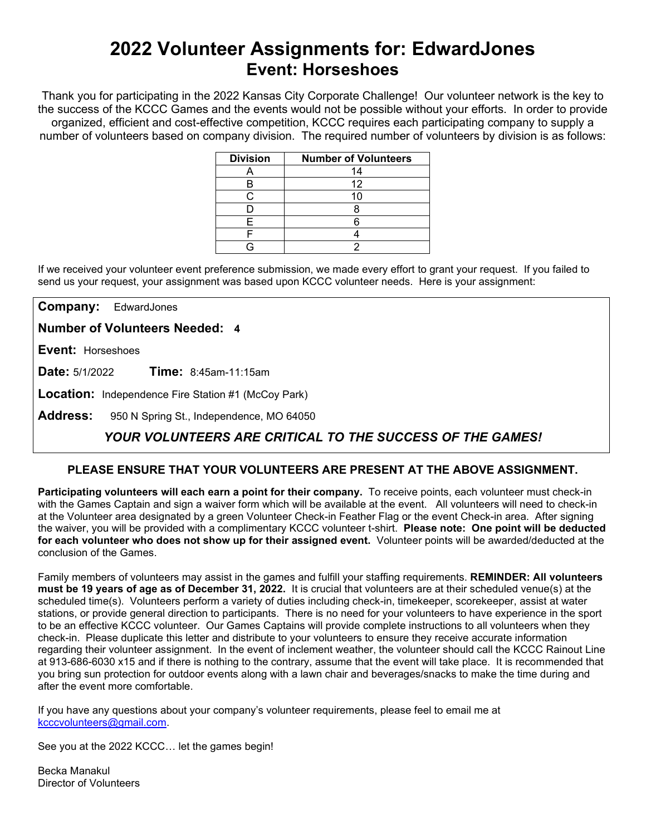# **2022 Volunteer Assignments for: EdwardJones Event: Horseshoes**

Thank you for participating in the 2022 Kansas City Corporate Challenge! Our volunteer network is the key to the success of the KCCC Games and the events would not be possible without your efforts.In order to provide organized, efficient and cost-effective competition, KCCC requires each participating company to supply a number of volunteers based on company division. The required number of volunteers by division is as follows:

| <b>Division</b> | <b>Number of Volunteers</b> |
|-----------------|-----------------------------|
|                 | 14                          |
| Н               | 12                          |
|                 | 10                          |
|                 |                             |
|                 |                             |
|                 |                             |
|                 |                             |

If we received your volunteer event preference submission, we made every effort to grant your request. If you failed to send us your request, your assignment was based upon KCCC volunteer needs. Here is your assignment:

**Company:** EdwardJones

**Number of Volunteers Needed: 4**

**Event:** Horseshoes

**Date:** 5/1/2022 **Time:** 8:45am-11:15am

**Location:** Independence Fire Station #1 (McCoy Park)

**Address:** 950 N Spring St., Independence, MO 64050

## *YOUR VOLUNTEERS ARE CRITICAL TO THE SUCCESS OF THE GAMES!*

### **PLEASE ENSURE THAT YOUR VOLUNTEERS ARE PRESENT AT THE ABOVE ASSIGNMENT.**

**Participating volunteers will each earn a point for their company.** To receive points, each volunteer must check-in with the Games Captain and sign a waiver form which will be available at the event. All volunteers will need to check-in at the Volunteer area designated by a green Volunteer Check-in Feather Flag or the event Check-in area. After signing the waiver, you will be provided with a complimentary KCCC volunteer t-shirt. **Please note: One point will be deducted for each volunteer who does not show up for their assigned event.** Volunteer points will be awarded/deducted at the conclusion of the Games.

Family members of volunteers may assist in the games and fulfill your staffing requirements. **REMINDER: All volunteers must be 19 years of age as of December 31, 2022.** It is crucial that volunteers are at their scheduled venue(s) at the scheduled time(s). Volunteers perform a variety of duties including check-in, timekeeper, scorekeeper, assist at water stations, or provide general direction to participants. There is no need for your volunteers to have experience in the sport to be an effective KCCC volunteer. Our Games Captains will provide complete instructions to all volunteers when they check-in. Please duplicate this letter and distribute to your volunteers to ensure they receive accurate information regarding their volunteer assignment. In the event of inclement weather, the volunteer should call the KCCC Rainout Line at 913-686-6030 x15 and if there is nothing to the contrary, assume that the event will take place. It is recommended that you bring sun protection for outdoor events along with a lawn chair and beverages/snacks to make the time during and after the event more comfortable.

If you have any questions about your company's volunteer requirements, please feel to email me at [kcccvolunteers@gmail.com.](mailto:kcccvolunteers@gmail.com)

See you at the 2022 KCCC… let the games begin!

Becka Manakul Director of Volunteers